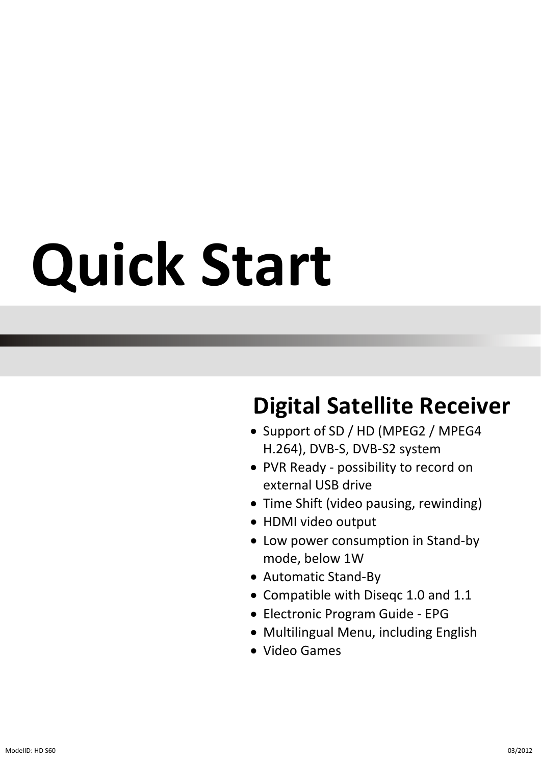# **Quick Start**

## **Digital Satellite Receiver**

- Support of SD / HD (MPEG2 / MPEG4 H.264), DVB-S, DVB-S2 system
- PVR Ready possibility to record on external USB drive
- Time Shift (video pausing, rewinding)
- HDMI video output
- Low power consumption in Stand-by mode, below 1W
- Automatic Stand-By
- Compatible with Diseqc 1.0 and 1.1
- Electronic Program Guide EPG
- Multilingual Menu, including English
- Video Games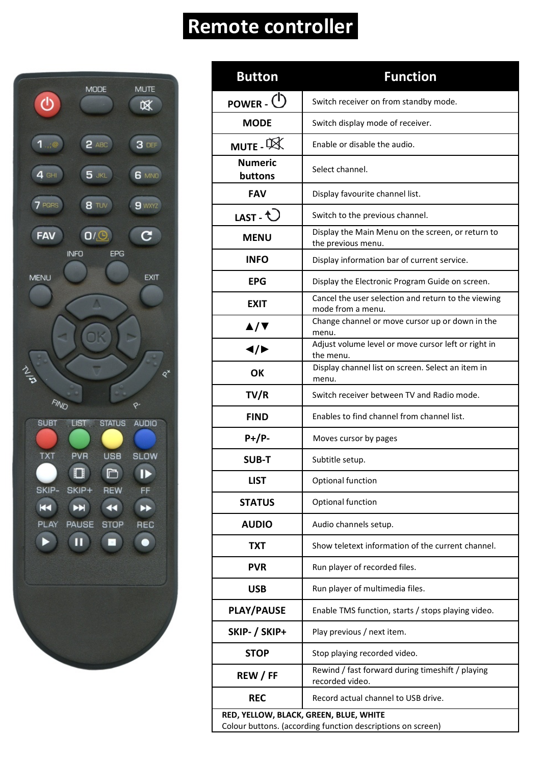## **Remote controller**



| Button                                                                                                | <b>Function</b>                                                          |  |  |
|-------------------------------------------------------------------------------------------------------|--------------------------------------------------------------------------|--|--|
| POWER - $\circlearrowleft$                                                                            | Switch receiver on from standby mode.                                    |  |  |
| <b>MODE</b>                                                                                           | Switch display mode of receiver.                                         |  |  |
| MUTE - X                                                                                              | Enable or disable the audio.                                             |  |  |
| <b>Numeric</b><br>buttons                                                                             | Select channel.                                                          |  |  |
| FAV                                                                                                   | Display favourite channel list.                                          |  |  |
| LAST - $\bigcirc$                                                                                     | Switch to the previous channel.                                          |  |  |
| <b>MENU</b>                                                                                           | Display the Main Menu on the screen, or return to<br>the previous menu.  |  |  |
| <b>INFO</b>                                                                                           | Display information bar of current service.                              |  |  |
| EPG                                                                                                   | Display the Electronic Program Guide on screen.                          |  |  |
| <b>EXIT</b>                                                                                           | Cancel the user selection and return to the viewing<br>mode from a menu. |  |  |
| ▲/▼                                                                                                   | Change channel or move cursor up or down in the<br>menu.                 |  |  |
| ◀/▶                                                                                                   | Adjust volume level or move cursor left or right in<br>the menu.         |  |  |
| ОК                                                                                                    | Display channel list on screen. Select an item in<br>menu.               |  |  |
| TV/R                                                                                                  | Switch receiver between TV and Radio mode.                               |  |  |
| <b>FIND</b>                                                                                           | Enables to find channel from channel list.                               |  |  |
| P+/P-                                                                                                 | Moves cursor by pages                                                    |  |  |
| SUB-T                                                                                                 | Subtitle setup.                                                          |  |  |
| LIST                                                                                                  | Optional function                                                        |  |  |
| <b>STATUS</b>                                                                                         | Optional function                                                        |  |  |
| <b>AUDIO</b>                                                                                          | Audio channels setup.                                                    |  |  |
| TXT                                                                                                   | Show teletext information of the current channel.                        |  |  |
| <b>PVR</b>                                                                                            | Run player of recorded files.                                            |  |  |
| USB                                                                                                   | Run player of multimedia files.                                          |  |  |
| <b>PLAY/PAUSE</b>                                                                                     | Enable TMS function, starts / stops playing video.                       |  |  |
| SKIP- / SKIP+                                                                                         | Play previous / next item.                                               |  |  |
| <b>STOP</b>                                                                                           | Stop playing recorded video.                                             |  |  |
| REW / FF                                                                                              | Rewind / fast forward during timeshift / playing<br>recorded video.      |  |  |
| REC                                                                                                   | Record actual channel to USB drive.                                      |  |  |
| RED, YELLOW, BLACK, GREEN, BLUE, WHITE<br>Colour buttons. (according function descriptions on screen) |                                                                          |  |  |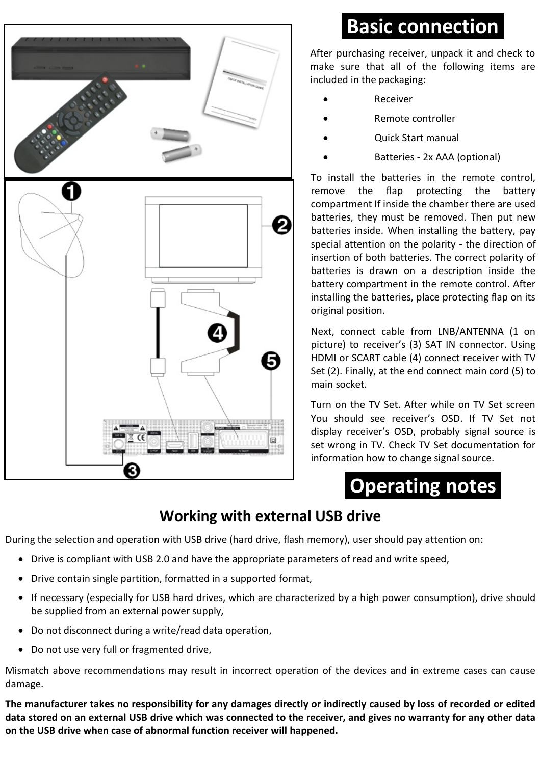

## **Basic connection**

After purchasing receiver, unpack it and check to make sure that all of the following items are included in the packaging:

- Receiver
- Remote controller
- Quick Start manual
- Batteries 2x AAA (optional)

To install the batteries in the remote control, remove the flap protecting the battery compartment If inside the chamber there are used batteries, they must be removed. Then put new batteries inside. When installing the battery, pay special attention on the polarity - the direction of insertion of both batteries. The correct polarity of batteries is drawn on a description inside the battery compartment in the remote control. After installing the batteries, place protecting flap on its original position.

Next, connect cable from LNB/ANTENNA (1 on picture) to receiver's (3) SAT IN connector. Using HDMI or SCART cable (4) connect receiver with TV Set (2). Finally, at the end connect main cord (5) to main socket.

Turn on the TV Set. After while on TV Set screen You should see receiver's OSD. If TV Set not display receiver's OSD, probably signal source is set wrong in TV. Check TV Set documentation for information how to change signal source.

**Operating notes**

## **Working with external USB drive**

During the selection and operation with USB drive (hard drive, flash memory), user should pay attention on:

- Drive is compliant with USB 2.0 and have the appropriate parameters of read and write speed,
- Drive contain single partition, formatted in a supported format,
- If necessary (especially for USB hard drives, which are characterized by a high power consumption), drive should be supplied from an external power supply,
- Do not disconnect during a write/read data operation,
- Do not use very full or fragmented drive,

Mismatch above recommendations may result in incorrect operation of the devices and in extreme cases can cause damage.

**The manufacturer takes no responsibility for any damages directly or indirectly caused by loss of recorded or edited data stored on an external USB drive which was connected to the receiver, and gives no warranty for any other data on the USB drive when case of abnormal function receiver will happened.**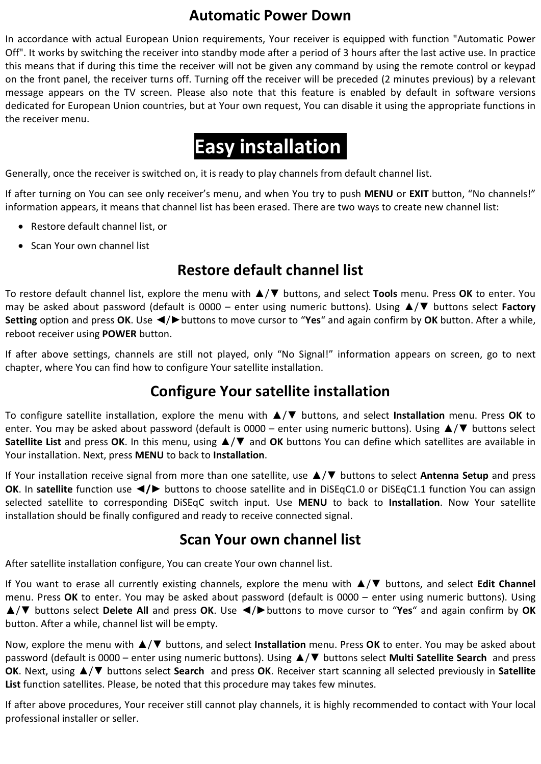### **Automatic Power Down**

In accordance with actual European Union requirements, Your receiver is equipped with function "Automatic Power Off". It works by switching the receiver into standby mode after a period of 3 hours after the last active use. In practice this means that if during this time the receiver will not be given any command by using the remote control or keypad on the front panel, the receiver turns off. Turning off the receiver will be preceded (2 minutes previous) by a relevant message appears on the TV screen. Please also note that this feature is enabled by default in software versions dedicated for European Union countries, but at Your own request, You can disable it using the appropriate functions in the receiver menu.

## **Easy installation**

Generally, once the receiver is switched on, it is ready to play channels from default channel list.

If after turning on You can see only receiver's menu, and when You try to push **MENU** or **EXIT** button, "No channels!" information appears, it means that channel list has been erased. There are two ways to create new channel list:

- Restore default channel list, or
- Scan Your own channel list

## **Restore default channel list**

To restore default channel list, explore the menu with ▲/▼ buttons, and select **Tools** menu. Press **OK** to enter. You may be asked about password (default is 0000 – enter using numeric buttons). Using ▲/▼ buttons select **Factory Setting** option and press **OK**. Use ◄/►buttons to move cursor to "**Yes**" and again confirm by **OK** button. After a while, reboot receiver using **POWER** button.

If after above settings, channels are still not played, only "No Signal!" information appears on screen, go to next chapter, where You can find how to configure Your satellite installation.

### **Configure Your satellite installation**

To configure satellite installation, explore the menu with ▲/▼ buttons, and select **Installation** menu. Press **OK** to enter. You may be asked about password (default is 0000 – enter using numeric buttons). Using ▲/▼ buttons select **Satellite List** and press **OK**. In this menu, using ▲/▼ and **OK** buttons You can define which satellites are available in Your installation. Next, press **MENU** to back to **Installation**.

If Your installation receive signal from more than one satellite, use ▲/▼ buttons to select **Antenna Setup** and press **OK**. In **satellite** function use **◄/►** buttons to choose satellite and in DiSEqC1.0 or DiSEqC1.1 function You can assign selected satellite to corresponding DiSEqC switch input. Use **MENU** to back to **Installation**. Now Your satellite installation should be finally configured and ready to receive connected signal.

### **Scan Your own channel list**

After satellite installation configure, You can create Your own channel list.

If You want to erase all currently existing channels, explore the menu with ▲/▼ buttons, and select **Edit Channel** menu. Press **OK** to enter. You may be asked about password (default is 0000 – enter using numeric buttons). Using ▲/▼ buttons select **Delete All** and press **OK**. Use ◄/►buttons to move cursor to "**Yes**" and again confirm by **OK** button. After a while, channel list will be empty.

Now, explore the menu with ▲/▼ buttons, and select **Installation** menu. Press **OK** to enter. You may be asked about password (default is 0000 – enter using numeric buttons). Using ▲/▼ buttons select **Multi Satellite Search** and press **OK**. Next, using ▲/▼ buttons select **Search** and press **OK**. Receiver start scanning all selected previously in **Satellite List** function satellites. Please, be noted that this procedure may takes few minutes.

If after above procedures, Your receiver still cannot play channels, it is highly recommended to contact with Your local professional installer or seller.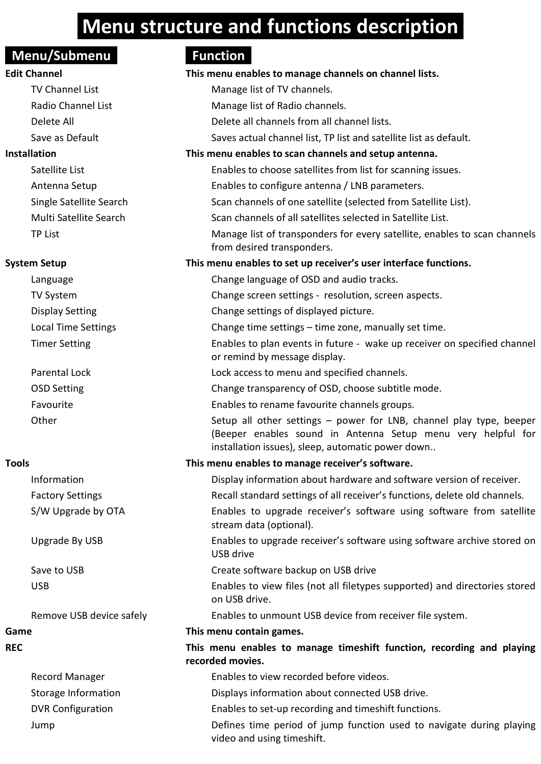## **Menu structure and functions description**

### **Menu/Submenu** Function

### **Edit Channel This menu enables to manage channels on channel lists.**

### **System Setup**

## Language

- Display Setting Local Time Settings Timer Setting
- OSD Setting

Save to USB

| <b>REC</b>               | This menu enables to manage timeshift function, recording and playing<br>recorded movies.          |
|--------------------------|----------------------------------------------------------------------------------------------------|
| Record Manager           | Enables to view recorded before videos.                                                            |
| Storage Information      | Displays information about connected USB drive.                                                    |
| <b>DVR Configuration</b> | Enables to set-up recording and timeshift functions.                                               |
| Jump                     | Defines time period of jump function used to navigate during playing<br>video and using timeshift. |

|              | TV Channel List            | Manage list of TV channels.                                                                                                                                                              |
|--------------|----------------------------|------------------------------------------------------------------------------------------------------------------------------------------------------------------------------------------|
|              | Radio Channel List         | Manage list of Radio channels.                                                                                                                                                           |
|              | Delete All                 | Delete all channels from all channel lists.                                                                                                                                              |
|              | Save as Default            | Saves actual channel list. TP list and satellite list as default.                                                                                                                        |
| Installation |                            | This menu enables to scan channels and setup antenna.                                                                                                                                    |
|              | Satellite List             | Enables to choose satellites from list for scanning issues.                                                                                                                              |
|              | Antenna Setup              | Enables to configure antenna / LNB parameters.                                                                                                                                           |
|              | Single Satellite Search    | Scan channels of one satellite (selected from Satellite List).                                                                                                                           |
|              | Multi Satellite Search     | Scan channels of all satellites selected in Satellite List.                                                                                                                              |
|              | <b>TP List</b>             | Manage list of transponders for every satellite, enables to scan channels<br>from desired transponders.                                                                                  |
|              | System Setup               | This menu enables to set up receiver's user interface functions.                                                                                                                         |
|              | Language                   | Change language of OSD and audio tracks.                                                                                                                                                 |
|              | <b>TV System</b>           | Change screen settings - resolution, screen aspects.                                                                                                                                     |
|              | <b>Display Setting</b>     | Change settings of displayed picture.                                                                                                                                                    |
|              | <b>Local Time Settings</b> | Change time settings - time zone, manually set time.                                                                                                                                     |
|              | <b>Timer Setting</b>       | Enables to plan events in future - wake up receiver on specified channel<br>or remind by message display.                                                                                |
|              | Parental Lock              | Lock access to menu and specified channels.                                                                                                                                              |
|              | <b>OSD Setting</b>         | Change transparency of OSD, choose subtitle mode.                                                                                                                                        |
|              | Favourite                  | Enables to rename favourite channels groups.                                                                                                                                             |
|              | Other                      | Setup all other settings - power for LNB, channel play type, beeper<br>(Beeper enables sound in Antenna Setup menu very helpful for<br>installation issues), sleep, automatic power down |
| Tools        |                            | This menu enables to manage receiver's software.                                                                                                                                         |
|              | Information                | Display information about hardware and software version of receiver.                                                                                                                     |
|              | <b>Factory Settings</b>    | Recall standard settings of all receiver's functions, delete old channels.                                                                                                               |
|              | S/W Upgrade by OTA         | Enables to upgrade receiver's software using software from satellite<br>stream data (optional).                                                                                          |
|              | Upgrade By USB             | Enables to upgrade receiver's software using software archive stored on<br>USB drive                                                                                                     |
|              | Save to USB                | Create software backup on USB drive                                                                                                                                                      |

USB Enables to view files (not all filetypes supported) and directories stored on USB drive.

Remove USB device safely Enables to unmount USB device from receiver file system.

### **Game This menu contain games.**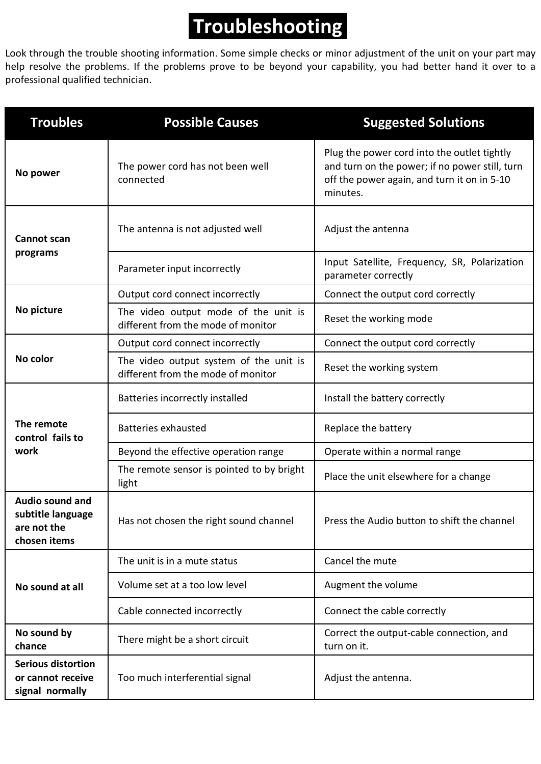## **Troubleshooting**

Look through the trouble shooting information. Some simple checks or minor adjustment of the unit on your part may help resolve the problems. If the problems prove to be beyond your capability, you had better hand it over to a professional qualified technician.

| <b>Troubles</b><br><b>Possible Causes</b>                           |                                                                              | <b>Suggested Solutions</b>                                                                                                                               |
|---------------------------------------------------------------------|------------------------------------------------------------------------------|----------------------------------------------------------------------------------------------------------------------------------------------------------|
| The power cord has not been well<br>No power<br>connected           |                                                                              | Plug the power cord into the outlet tightly<br>and turn on the power; if no power still, turn<br>off the power again, and turn it on in 5-10<br>minutes. |
| Cannot scan                                                         | The antenna is not adjusted well                                             | Adjust the antenna                                                                                                                                       |
| programs                                                            | Parameter input incorrectly                                                  | Input Satellite, Frequency, SR, Polarization<br>parameter correctly                                                                                      |
|                                                                     | Output cord connect incorrectly                                              | Connect the output cord correctly                                                                                                                        |
| No picture                                                          | The video output mode of the unit is<br>different from the mode of monitor   | Reset the working mode                                                                                                                                   |
|                                                                     | Output cord connect incorrectly                                              | Connect the output cord correctly                                                                                                                        |
| No color                                                            | The video output system of the unit is<br>different from the mode of monitor | Reset the working system                                                                                                                                 |
|                                                                     | Batteries incorrectly installed                                              | Install the battery correctly                                                                                                                            |
| The remote<br>control fails to                                      | <b>Batteries exhausted</b>                                                   | Replace the battery                                                                                                                                      |
| work                                                                | Beyond the effective operation range                                         | Operate within a normal range                                                                                                                            |
|                                                                     | The remote sensor is pointed to by bright<br>light                           | Place the unit elsewhere for a change                                                                                                                    |
| Audio sound and<br>subtitle language<br>are not the<br>chosen items | Has not chosen the right sound channel                                       | Press the Audio button to shift the channel                                                                                                              |
|                                                                     | The unit is in a mute status                                                 | Cancel the mute                                                                                                                                          |
| No sound at all                                                     | Volume set at a too low level                                                | Augment the volume                                                                                                                                       |
|                                                                     | Cable connected incorrectly                                                  | Connect the cable correctly                                                                                                                              |
| No sound by<br>There might be a short circuit<br>chance             |                                                                              | Correct the output-cable connection, and<br>turn on it.                                                                                                  |
| Serious distortion<br>or cannot receive<br>signal normally          | Too much interferential signal                                               | Adjust the antenna.                                                                                                                                      |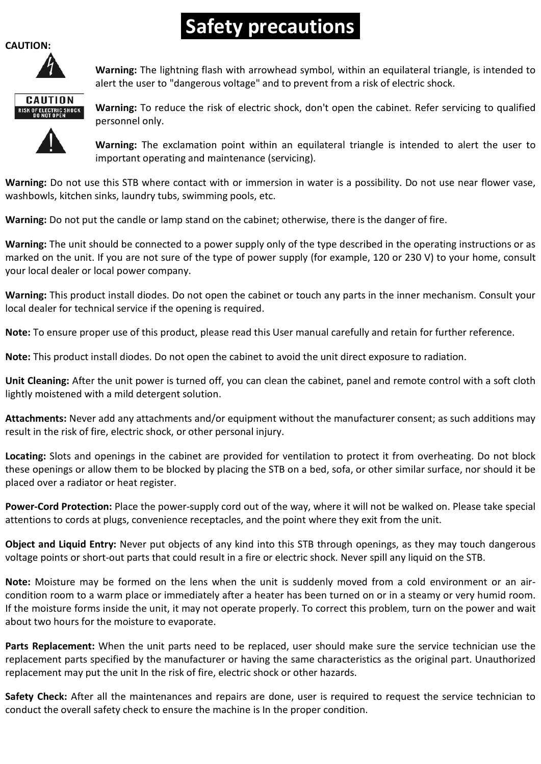## **Safety precautions**

#### **CAUTION:**



**Warning:** The lightning flash with arrowhead symbol, within an equilateral triangle, is intended to alert the user to "dangerous voltage" and to prevent from a risk of electric shock.



**Warning:** To reduce the risk of electric shock, don't open the cabinet. Refer servicing to qualified personnel only.

**Warning:** The exclamation point within an equilateral triangle is intended to alert the user to important operating and maintenance (servicing).

**Warning:** Do not use this STB where contact with or immersion in water is a possibility. Do not use near flower vase, washbowls, kitchen sinks, laundry tubs, swimming pools, etc.

**Warning:** Do not put the candle or lamp stand on the cabinet; otherwise, there is the danger of fire.

**Warning:** The unit should be connected to a power supply only of the type described in the operating instructions or as marked on the unit. If you are not sure of the type of power supply (for example, 120 or 230 V) to your home, consult your local dealer or local power company.

**Warning:** This product install diodes. Do not open the cabinet or touch any parts in the inner mechanism. Consult your local dealer for technical service if the opening is required.

**Note:** To ensure proper use of this product, please read this User manual carefully and retain for further reference.

**Note:** This product install diodes. Do not open the cabinet to avoid the unit direct exposure to radiation.

**Unit Cleaning:** After the unit power is turned off, you can clean the cabinet, panel and remote control with a soft cloth lightly moistened with a mild detergent solution.

**Attachments:** Never add any attachments and/or equipment without the manufacturer consent; as such additions may result in the risk of fire, electric shock, or other personal injury.

**Locating:** Slots and openings in the cabinet are provided for ventilation to protect it from overheating. Do not block these openings or allow them to be blocked by placing the STB on a bed, sofa, or other similar surface, nor should it be placed over a radiator or heat register.

**Power-Cord Protection:** Place the power-supply cord out of the way, where it will not be walked on. Please take special attentions to cords at plugs, convenience receptacles, and the point where they exit from the unit.

**Object and Liquid Entry:** Never put objects of any kind into this STB through openings, as they may touch dangerous voltage points or short-out parts that could result in a fire or electric shock. Never spill any liquid on the STB.

**Note:** Moisture may be formed on the lens when the unit is suddenly moved from a cold environment or an aircondition room to a warm place or immediately after a heater has been turned on or in a steamy or very humid room. If the moisture forms inside the unit, it may not operate properly. To correct this problem, turn on the power and wait about two hours for the moisture to evaporate.

**Parts Replacement:** When the unit parts need to be replaced, user should make sure the service technician use the replacement parts specified by the manufacturer or having the same characteristics as the original part. Unauthorized replacement may put the unit In the risk of fire, electric shock or other hazards.

**Safety Check:** After all the maintenances and repairs are done, user is required to request the service technician to conduct the overall safety check to ensure the machine is In the proper condition.